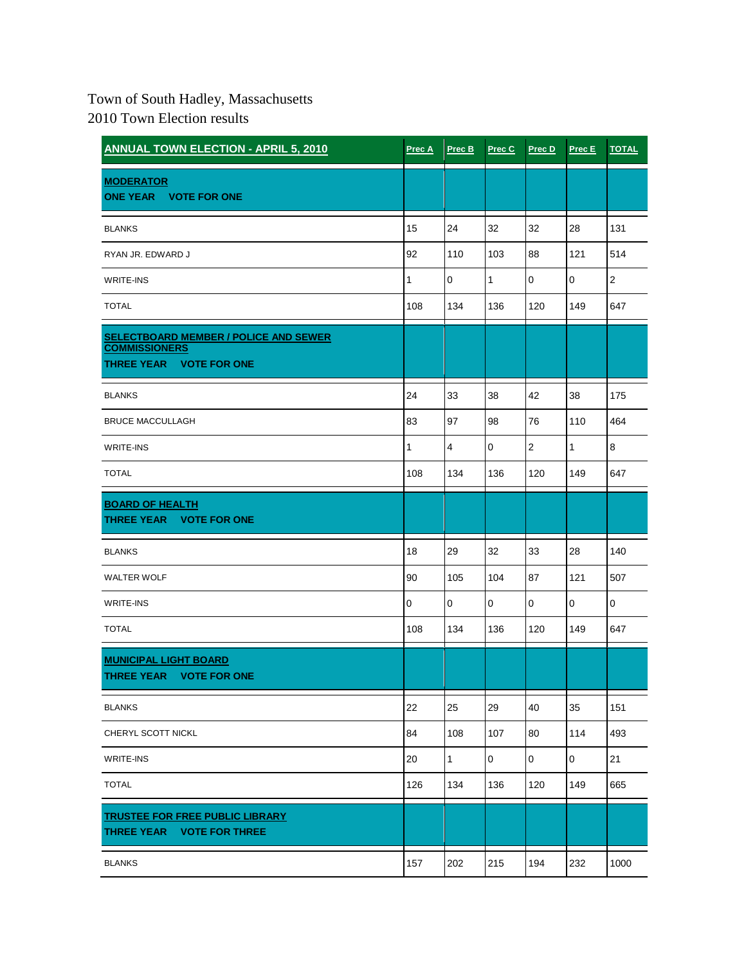## Town of South Hadley, Massachusetts

2010 Town Election results

| <b>ANNUAL TOWN ELECTION - APRIL 5, 2010</b>                                                                      | Prec A    | Prec B         | Prec C      | Prec D         | Prec E      | <b>TOTAL</b>   |
|------------------------------------------------------------------------------------------------------------------|-----------|----------------|-------------|----------------|-------------|----------------|
| <b>MODERATOR</b><br>ONE YEAR VOTE FOR ONE                                                                        |           |                |             |                |             |                |
| <b>BLANKS</b>                                                                                                    | 15        | 24             | 32          | 32             | 28          | 131            |
| RYAN JR. EDWARD J                                                                                                | 92        | 110            | 103         | 88             | 121         | 514            |
| <b>WRITE-INS</b>                                                                                                 | 1         | $\mathbf 0$    | 1           | $\mathbf 0$    | 0           | $\overline{2}$ |
| <b>TOTAL</b>                                                                                                     | 108       | 134            | 136         | 120            | 149         | 647            |
| <b>SELECTBOARD MEMBER / POLICE AND SEWER</b><br><b>COMMISSIONERS</b><br><b>THREE YEAR</b><br><b>VOTE FOR ONE</b> |           |                |             |                |             |                |
| <b>BLANKS</b>                                                                                                    | 24        | 33             | 38          | 42             | 38          | 175            |
| <b>BRUCE MACCULLAGH</b>                                                                                          | 83        | 97             | 98          | 76             | 110         | 464            |
| <b>WRITE-INS</b>                                                                                                 | 1         | $\overline{4}$ | 0           | $\overline{2}$ | 1           | 8              |
| <b>TOTAL</b>                                                                                                     | 108       | 134            | 136         | 120            | 149         | 647            |
| <b>BOARD OF HEALTH</b><br><b>THREE YEAR</b><br><b>VOTE FOR ONE</b>                                               |           |                |             |                |             |                |
| <b>BLANKS</b>                                                                                                    | 18        | 29             | 32          | 33             | 28          | 140            |
| <b>WALTER WOLF</b>                                                                                               | 90        | 105            | 104         | 87             | 121         | 507            |
| WRITE-INS                                                                                                        | $\pmb{0}$ | $\pmb{0}$      | $\mathbf 0$ | $\mathbf{0}$   | $\mathbf 0$ | 0              |
| <b>TOTAL</b>                                                                                                     | 108       | 134            | 136         | 120            | 149         | 647            |
| <b>MUNICIPAL LIGHT BOARD</b><br>THREE YEAR VOTE FOR ONE                                                          |           |                |             |                |             |                |
| <b>BLANKS</b>                                                                                                    | 22        | 25             | 29          | 40             | 35          | 151            |
| CHERYL SCOTT NICKL                                                                                               | 84        | 108            | 107         | 80             | 114         | 493            |
| WRITE-INS                                                                                                        | 20        | $\mathbf{1}$   | 0           | $\mathbf 0$    | 0           | 21             |
| <b>TOTAL</b>                                                                                                     | 126       | 134            | 136         | 120            | 149         | 665            |
| <b>TRUSTEE FOR FREE PUBLIC LIBRARY</b><br>THREE YEAR VOTE FOR THREE                                              |           |                |             |                |             |                |
| <b>BLANKS</b>                                                                                                    | 157       | 202            | 215         | 194            | 232         | 1000           |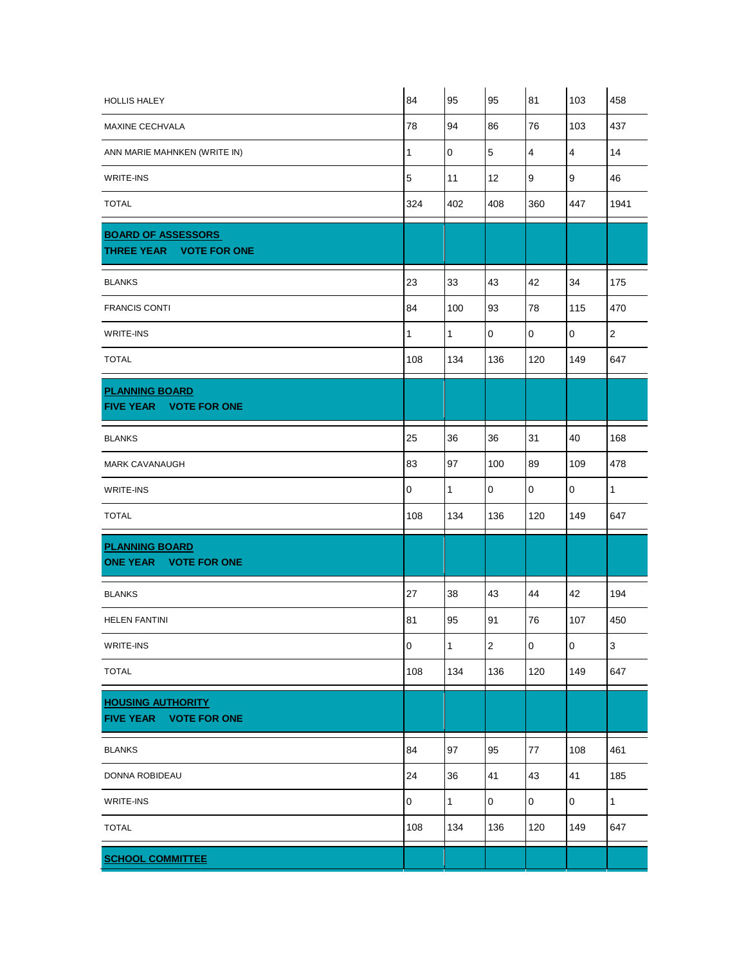| <b>HOLLIS HALEY</b>                                  | 84               | 95           | 95          | 81                      | 103            | 458          |
|------------------------------------------------------|------------------|--------------|-------------|-------------------------|----------------|--------------|
| <b>MAXINE CECHVALA</b>                               | 78               | 94           | 86          | 76                      | 103            | 437          |
| ANN MARIE MAHNKEN (WRITE IN)                         | 1                | 0            | 5           | $\overline{\mathbf{4}}$ | $\overline{4}$ | 14           |
| <b>WRITE-INS</b>                                     | $\overline{5}$   | 11           | 12          | 9                       | 9              | 46           |
| <b>TOTAL</b>                                         | 324              | 402          | 408         | 360                     | 447            | 1941         |
| <b>BOARD OF ASSESSORS</b><br>THREE YEAR VOTE FOR ONE |                  |              |             |                         |                |              |
| <b>BLANKS</b>                                        | 23               | 33           | 43          | 42                      | 34             | 175          |
| <b>FRANCIS CONTI</b>                                 | 84               | 100          | 93          | 78                      | 115            | 470          |
| WRITE-INS                                            | $\mathbf{1}$     | $\mathbf{1}$ | $\mathbf 0$ | $\mathbf 0$             | $\pmb{0}$      | $\mathbf 2$  |
| <b>TOTAL</b>                                         | 108              | 134          | 136         | 120                     | 149            | 647          |
| <b>PLANNING BOARD</b><br>FIVE YEAR VOTE FOR ONE      |                  |              |             |                         |                |              |
| <b>BLANKS</b>                                        | 25               | 36           | 36          | 31                      | 40             | 168          |
| <b>MARK CAVANAUGH</b>                                | 83               | 97           | 100         | 89                      | 109            | 478          |
| <b>WRITE-INS</b>                                     | $\pmb{0}$        | $\mathbf{1}$ | 0           | $\overline{0}$          | $\mathbf 0$    | $\mathbf{1}$ |
| <b>TOTAL</b>                                         | 108              | 134          | 136         | 120                     | 149            | 647          |
| <b>PLANNING BOARD</b><br>ONE YEAR VOTE FOR ONE       |                  |              |             |                         |                |              |
| <b>BLANKS</b>                                        | 27               | 38           | 43          | 44                      | 42             | 194          |
| <b>HELEN FANTINI</b>                                 | 81               | 95           | 91          | 76                      | 107            | 450          |
| <b>WRITE-INS</b>                                     | $\boldsymbol{0}$ | $\mathbf{1}$ | $\mathbf 2$ | $\overline{0}$          | $\pmb{0}$      | $\mathbf{3}$ |
| <b>TOTAL</b>                                         | 108              | 134          | 136         | 120                     | 149            | 647          |
| <b>HOUSING AUTHORITY</b><br>FIVE YEAR VOTE FOR ONE   |                  |              |             |                         |                |              |
| <b>BLANKS</b>                                        | 84               | 97           | 95          | 77                      | 108            | 461          |
| DONNA ROBIDEAU                                       | 24               | 36           | 41          | 43                      | 41             | 185          |
| WRITE-INS                                            | $\mathbf 0$      | $\mathbf{1}$ | 0           | $\pmb{0}$               | $\mathsf 0$    | $\mathbf{1}$ |
| <b>TOTAL</b>                                         | 108              | 134          | 136         | 120                     | 149            | 647          |
| <b>SCHOOL COMMITTEE</b>                              |                  |              |             |                         |                |              |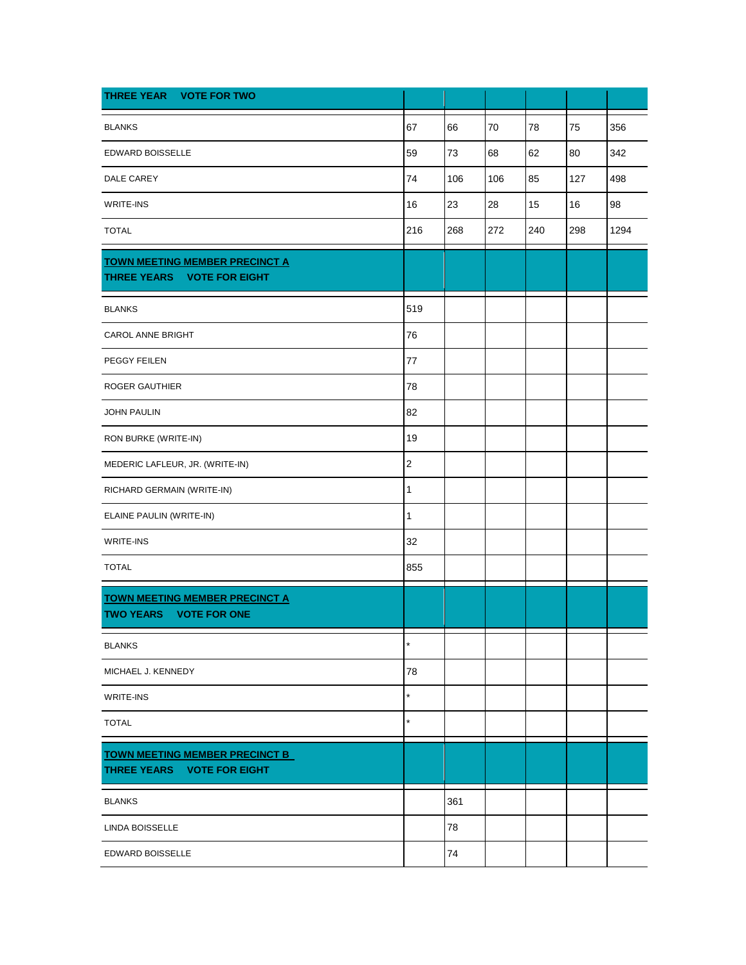| THREE YEAR VOTE FOR TWO                                             |             |     |     |     |     |      |
|---------------------------------------------------------------------|-------------|-----|-----|-----|-----|------|
| <b>BLANKS</b>                                                       | 67          | 66  | 70  | 78  | 75  | 356  |
| EDWARD BOISSELLE                                                    | 59          | 73  | 68  | 62  | 80  | 342  |
| DALE CAREY                                                          | 74          | 106 | 106 | 85  | 127 | 498  |
| <b>WRITE-INS</b>                                                    | 16          | 23  | 28  | 15  | 16  | 98   |
| <b>TOTAL</b>                                                        | 216         | 268 | 272 | 240 | 298 | 1294 |
| <b>TOWN MEETING MEMBER PRECINCT A</b><br>THREE YEARS VOTE FOR EIGHT |             |     |     |     |     |      |
| <b>BLANKS</b>                                                       | 519         |     |     |     |     |      |
| CAROL ANNE BRIGHT                                                   | 76          |     |     |     |     |      |
| PEGGY FEILEN                                                        | 77          |     |     |     |     |      |
| <b>ROGER GAUTHIER</b>                                               | 78          |     |     |     |     |      |
| <b>JOHN PAULIN</b>                                                  | 82          |     |     |     |     |      |
| RON BURKE (WRITE-IN)                                                | 19          |     |     |     |     |      |
| MEDERIC LAFLEUR, JR. (WRITE-IN)                                     | $\mathbf 2$ |     |     |     |     |      |
| RICHARD GERMAIN (WRITE-IN)                                          | 1           |     |     |     |     |      |
| ELAINE PAULIN (WRITE-IN)                                            | 1           |     |     |     |     |      |
| WRITE-INS                                                           | 32          |     |     |     |     |      |
| <b>TOTAL</b>                                                        | 855         |     |     |     |     |      |
| <b>TOWN MEETING MEMBER PRECINCT A</b><br>TWO YEARS VOTE FOR ONE     |             |     |     |     |     |      |
| <b>BLANKS</b>                                                       | $\star$     |     |     |     |     |      |
| MICHAEL J. KENNEDY                                                  | 78          |     |     |     |     |      |
| WRITE-INS                                                           | $\star$     |     |     |     |     |      |
| <b>TOTAL</b>                                                        | $\star$     |     |     |     |     |      |
| <b>TOWN MEETING MEMBER PRECINCT B</b><br>THREE YEARS VOTE FOR EIGHT |             |     |     |     |     |      |
| <b>BLANKS</b>                                                       |             | 361 |     |     |     |      |
| LINDA BOISSELLE                                                     |             | 78  |     |     |     |      |
| EDWARD BOISSELLE                                                    |             | 74  |     |     |     |      |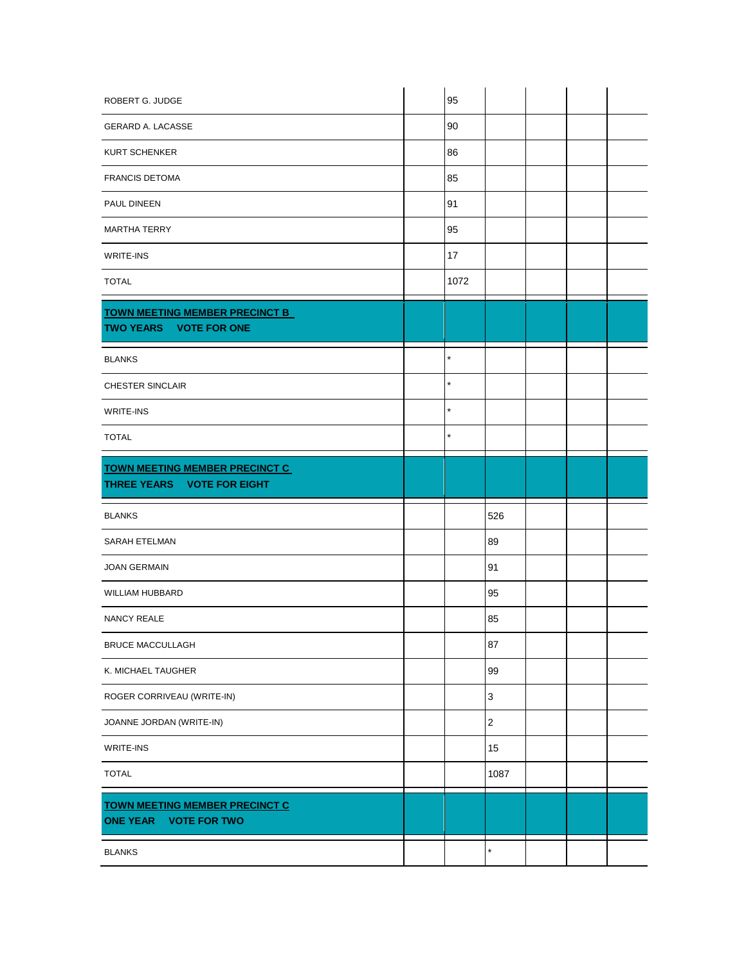| ROBERT G. JUDGE                                                 | 95      |                           |  |  |
|-----------------------------------------------------------------|---------|---------------------------|--|--|
| <b>GERARD A. LACASSE</b>                                        | 90      |                           |  |  |
| KURT SCHENKER                                                   | 86      |                           |  |  |
| <b>FRANCIS DETOMA</b>                                           | 85      |                           |  |  |
| PAUL DINEEN                                                     | 91      |                           |  |  |
| MARTHA TERRY                                                    | 95      |                           |  |  |
| WRITE-INS                                                       | 17      |                           |  |  |
| <b>TOTAL</b>                                                    | 1072    |                           |  |  |
| <b>TOWN MEETING MEMBER PRECINCT B</b><br>TWO YEARS VOTE FOR ONE |         |                           |  |  |
| <b>BLANKS</b>                                                   | $\star$ |                           |  |  |
| <b>CHESTER SINCLAIR</b>                                         | $\star$ |                           |  |  |
| <b>WRITE-INS</b>                                                | $\star$ |                           |  |  |
| <b>TOTAL</b>                                                    | $\star$ |                           |  |  |
| <b>TOWN MEETING MEMBER PRECINCT C</b>                           |         |                           |  |  |
| THREE YEARS VOTE FOR EIGHT                                      |         |                           |  |  |
| <b>BLANKS</b>                                                   |         | 526                       |  |  |
| SARAH ETELMAN                                                   |         | 89                        |  |  |
| JOAN GERMAIN                                                    |         | 91                        |  |  |
| WILLIAM HUBBARD                                                 |         | 95                        |  |  |
| <b>NANCY REALE</b>                                              |         | 85                        |  |  |
| BRUCE MACCULLAGH                                                |         | 87                        |  |  |
| K. MICHAEL TAUGHER                                              |         | 99                        |  |  |
| ROGER CORRIVEAU (WRITE-IN)                                      |         | $\ensuremath{\mathsf{3}}$ |  |  |
| JOANNE JORDAN (WRITE-IN)                                        |         | $\sqrt{2}$                |  |  |
| WRITE-INS                                                       |         | 15                        |  |  |
| <b>TOTAL</b>                                                    |         | 1087                      |  |  |
| <b>TOWN MEETING MEMBER PRECINCT C</b><br>ONE YEAR VOTE FOR TWO  |         |                           |  |  |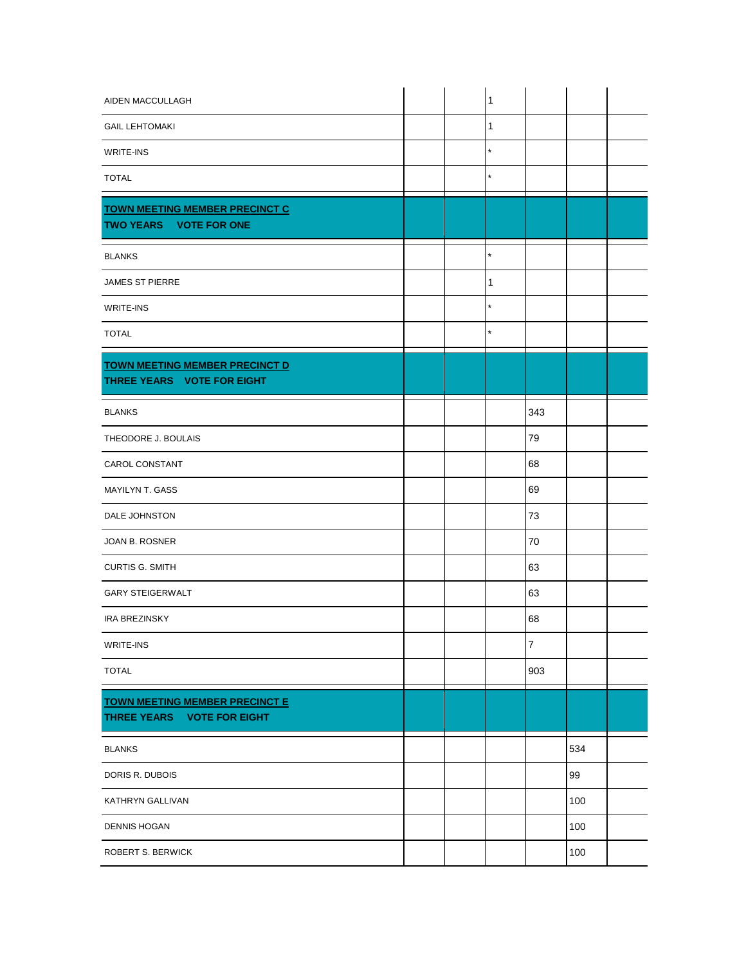| AIDEN MACCULLAGH                                                    |  | 1          |                  |     |  |
|---------------------------------------------------------------------|--|------------|------------------|-----|--|
| <b>GAIL LEHTOMAKI</b>                                               |  | 1          |                  |     |  |
| WRITE-INS                                                           |  | $\star$    |                  |     |  |
| <b>TOTAL</b>                                                        |  | ÷          |                  |     |  |
| <b>TOWN MEETING MEMBER PRECINCT C</b><br>TWO YEARS VOTE FOR ONE     |  |            |                  |     |  |
| <b>BLANKS</b>                                                       |  | $^\star$   |                  |     |  |
| <b>JAMES ST PIERRE</b>                                              |  | 1          |                  |     |  |
| WRITE-INS                                                           |  | $^{\star}$ |                  |     |  |
| <b>TOTAL</b>                                                        |  | $\star$    |                  |     |  |
| <b>TOWN MEETING MEMBER PRECINCT D</b><br>THREE YEARS VOTE FOR EIGHT |  |            |                  |     |  |
| <b>BLANKS</b>                                                       |  |            | 343              |     |  |
| THEODORE J. BOULAIS                                                 |  |            | 79               |     |  |
| CAROL CONSTANT                                                      |  |            | 68               |     |  |
| <b>MAYILYN T. GASS</b>                                              |  |            | 69               |     |  |
| DALE JOHNSTON                                                       |  |            | 73               |     |  |
| JOAN B. ROSNER                                                      |  |            | 70               |     |  |
| <b>CURTIS G. SMITH</b>                                              |  |            | 63               |     |  |
| <b>GARY STEIGERWALT</b>                                             |  |            | 63               |     |  |
| <b>IRA BREZINSKY</b>                                                |  |            | 68               |     |  |
| WRITE-INS                                                           |  |            | $\boldsymbol{7}$ |     |  |
| <b>TOTAL</b>                                                        |  |            | 903              |     |  |
| <b>TOWN MEETING MEMBER PRECINCT E</b><br>THREE YEARS VOTE FOR EIGHT |  |            |                  |     |  |
| <b>BLANKS</b>                                                       |  |            |                  | 534 |  |
| DORIS R. DUBOIS                                                     |  |            |                  | 99  |  |
| KATHRYN GALLIVAN                                                    |  |            |                  | 100 |  |
| <b>DENNIS HOGAN</b>                                                 |  |            |                  | 100 |  |
| ROBERT S. BERWICK                                                   |  |            |                  | 100 |  |